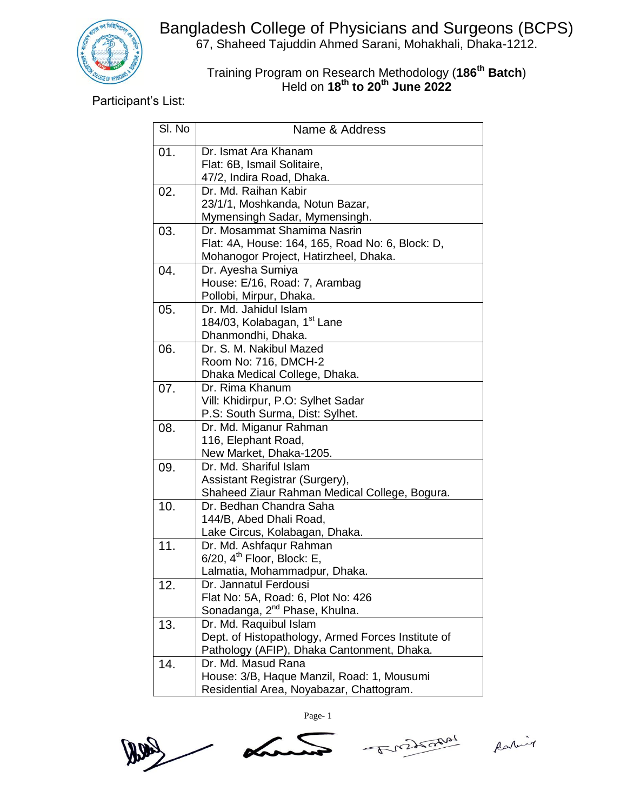

Bangladesh College of Physicians and Surgeons (BCPS) 67, Shaheed Tajuddin Ahmed Sarani, Mohakhali, Dhaka-1212.

## Training Program on Research Methodology (**186 th Batch**) Held on **18th to 20th June 2022**

Participant's List:

| SI. No | Name & Address                                     |
|--------|----------------------------------------------------|
| 01.    | Dr. Ismat Ara Khanam                               |
|        | Flat: 6B, Ismail Solitaire,                        |
|        | 47/2, Indira Road, Dhaka.                          |
| 02.    | Dr. Md. Raihan Kabir                               |
|        | 23/1/1, Moshkanda, Notun Bazar,                    |
|        | Mymensingh Sadar, Mymensingh.                      |
| 03.    | Dr. Mosammat Shamima Nasrin                        |
|        | Flat: 4A, House: 164, 165, Road No: 6, Block: D,   |
|        | Mohanogor Project, Hatirzheel, Dhaka.              |
| 04.    | Dr. Ayesha Sumiya                                  |
|        | House: E/16, Road: 7, Arambag                      |
|        | Pollobi, Mirpur, Dhaka.                            |
| 05.    | Dr. Md. Jahidul Islam                              |
|        | 184/03, Kolabagan, 1 <sup>st</sup> Lane            |
|        | Dhanmondhi, Dhaka.                                 |
| 06.    | Dr. S. M. Nakibul Mazed                            |
|        | Room No: 716, DMCH-2                               |
|        | Dhaka Medical College, Dhaka.                      |
| 07.    | Dr. Rima Khanum                                    |
|        | Vill: Khidirpur, P.O: Sylhet Sadar                 |
|        | P.S: South Surma, Dist: Sylhet.                    |
| 08.    | Dr. Md. Miganur Rahman                             |
|        | 116, Elephant Road,<br>New Market, Dhaka-1205.     |
| 09.    | Dr. Md. Shariful Islam                             |
|        | Assistant Registrar (Surgery),                     |
|        | Shaheed Ziaur Rahman Medical College, Bogura.      |
| 10.    | Dr. Bedhan Chandra Saha                            |
|        | 144/B, Abed Dhali Road,                            |
|        | Lake Circus, Kolabagan, Dhaka.                     |
| 11.    | Dr. Md. Ashfaqur Rahman                            |
|        | $6/20$ , $4th$ Floor, Block: E,                    |
|        | Lalmatia, Mohammadpur, Dhaka.                      |
| 12.    | Dr. Jannatul Ferdousi                              |
|        | Flat No: 5A, Road: 6, Plot No: 426                 |
|        | Sonadanga, 2 <sup>nd</sup> Phase, Khulna.          |
| 13.    | Dr. Md. Raquibul Islam                             |
|        | Dept. of Histopathology, Armed Forces Institute of |
|        | Pathology (AFIP), Dhaka Cantonment, Dhaka.         |
| 14.    | Dr. Md. Masud Rana                                 |
|        | House: 3/B, Haque Manzil, Road: 1, Mousumi         |
|        | Residential Area, Noyabazar, Chattogram.           |

Page- 1

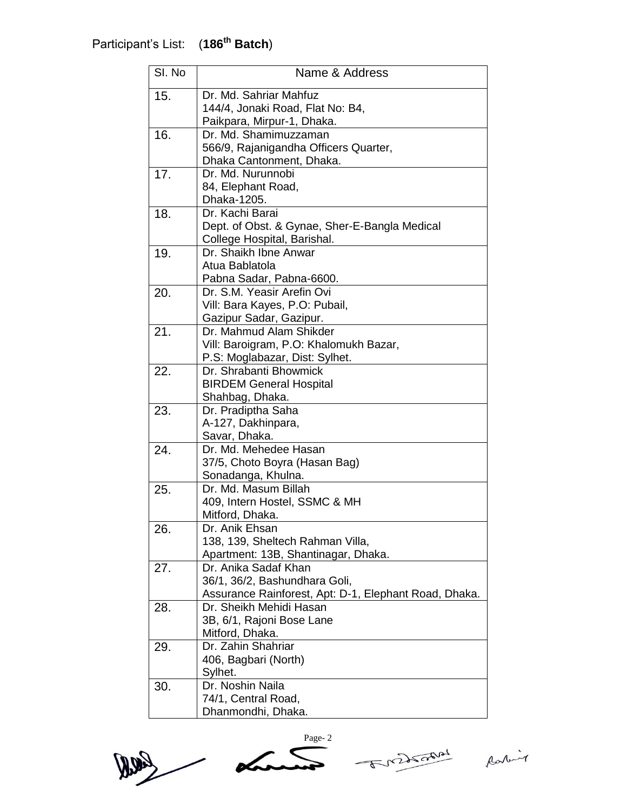| SI. No | Name & Address                                        |
|--------|-------------------------------------------------------|
| 15.    | Dr. Md. Sahriar Mahfuz                                |
|        | 144/4, Jonaki Road, Flat No: B4,                      |
|        | Paikpara, Mirpur-1, Dhaka.                            |
| 16.    | Dr. Md. Shamimuzzaman                                 |
|        | 566/9, Rajanigandha Officers Quarter,                 |
|        | Dhaka Cantonment, Dhaka.                              |
| 17.    | Dr. Md. Nurunnobi                                     |
|        | 84, Elephant Road,                                    |
|        | Dhaka-1205.                                           |
| 18.    | Dr. Kachi Barai                                       |
|        | Dept. of Obst. & Gynae, Sher-E-Bangla Medical         |
|        | College Hospital, Barishal.                           |
| 19.    | Dr. Shaikh Ibne Anwar                                 |
|        | Atua Bablatola                                        |
|        | Pabna Sadar, Pabna-6600.                              |
| 20.    | Dr. S.M. Yeasir Arefin Ovi                            |
|        | Vill: Bara Kayes, P.O: Pubail,                        |
|        | Gazipur Sadar, Gazipur.                               |
| 21.    | Dr. Mahmud Alam Shikder                               |
|        | Vill: Baroigram, P.O: Khalomukh Bazar,                |
|        | P.S: Moglabazar, Dist: Sylhet.                        |
| 22.    | Dr. Shrabanti Bhowmick                                |
|        | <b>BIRDEM General Hospital</b>                        |
|        | Shahbag, Dhaka.                                       |
| 23.    | Dr. Pradiptha Saha                                    |
|        | A-127, Dakhinpara,<br>Savar, Dhaka.                   |
| 24.    | Dr. Md. Mehedee Hasan                                 |
|        | 37/5, Choto Boyra (Hasan Bag)                         |
|        | Sonadanga, Khulna.                                    |
| 25.    | Dr. Md. Masum Billah                                  |
|        | 409, Intern Hostel, SSMC & MH                         |
|        | Mitford, Dhaka.                                       |
| 26.    | Dr. Anik Ehsan                                        |
|        | 138, 139, Sheltech Rahman Villa,                      |
|        | Apartment: 13B, Shantinagar, Dhaka.                   |
| 27.    | Dr. Anika Sadaf Khan                                  |
|        | 36/1, 36/2, Bashundhara Goli,                         |
|        | Assurance Rainforest, Apt: D-1, Elephant Road, Dhaka. |
| 28.    | Dr. Sheikh Mehidi Hasan                               |
|        | 3B, 6/1, Rajoni Bose Lane                             |
|        | Mitford, Dhaka.                                       |
| 29.    | Dr. Zahin Shahriar                                    |
|        | 406, Bagbari (North)                                  |
|        | Sylhet.                                               |
| 30.    | Dr. Noshin Naila                                      |
|        | 74/1, Central Road,                                   |
|        | Dhanmondhi, Dhaka.                                    |

 $\sim$ Lagg



Raking